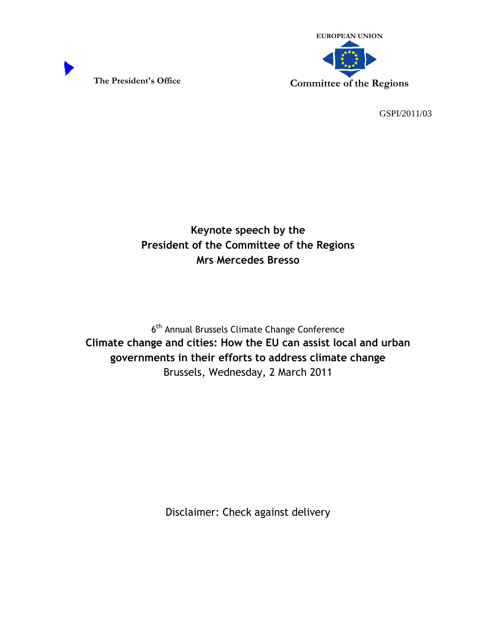



GSPI/2011/03

Keynote speech by the President of the Committee of the Regions Mrs Mercedes Bresso

6<sup>th</sup> Annual Brussels Climate Change Conference Climate change and cities: How the EU can assist local and urban governments in their efforts to address climate change Brussels, Wednesday, 2 March 2011

Disclaimer: Check against delivery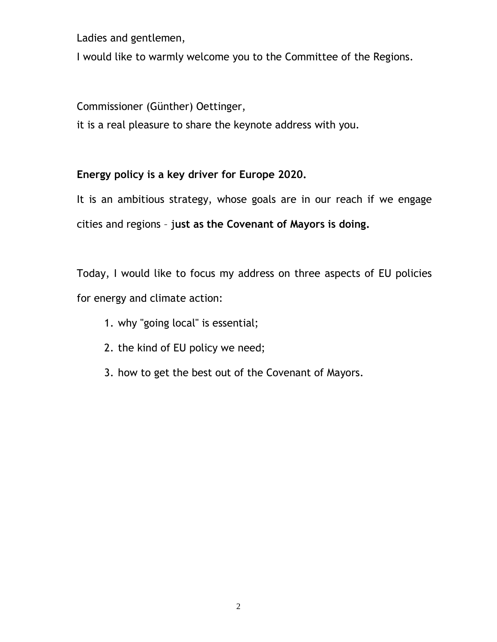Ladies and gentlemen,

I would like to warmly welcome you to the Committee of the Regions.

Commissioner (Günther) Oettinger,

it is a real pleasure to share the keynote address with you.

## Energy policy is a key driver for Europe 2020.

It is an ambitious strategy, whose goals are in our reach if we engage cities and regions – just as the Covenant of Mayors is doing.

Today, I would like to focus my address on three aspects of EU policies for energy and climate action:

- 1. why "going local" is essential;
- 2. the kind of EU policy we need;
- 3. how to get the best out of the Covenant of Mayors.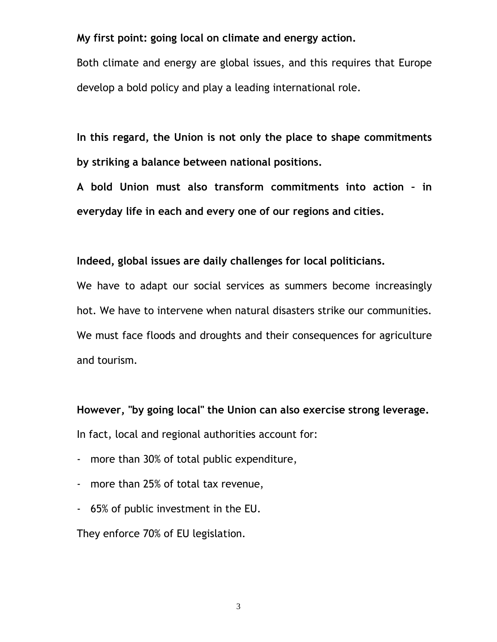My first point: going local on climate and energy action.

Both climate and energy are global issues, and this requires that Europe develop a bold policy and play a leading international role.

In this regard, the Union is not only the place to shape commitments by striking a balance between national positions.

A bold Union must also transform commitments into action – in everyday life in each and every one of our regions and cities.

## Indeed, global issues are daily challenges for local politicians.

We have to adapt our social services as summers become increasingly hot. We have to intervene when natural disasters strike our communities. We must face floods and droughts and their consequences for agriculture and tourism.

However, "by going local" the Union can also exercise strong leverage. In fact, local and regional authorities account for:

- more than 30% of total public expenditure,
- more than 25% of total tax revenue,
- 65% of public investment in the EU.

They enforce 70% of EU legislation.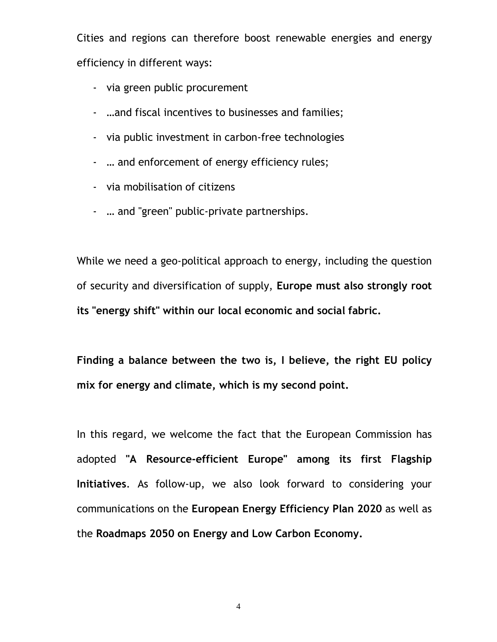Cities and regions can therefore boost renewable energies and energy efficiency in different ways:

- via green public procurement
- …and fiscal incentives to businesses and families;
- via public investment in carbon-free technologies
- … and enforcement of energy efficiency rules;
- via mobilisation of citizens
- … and "green" public-private partnerships.

While we need a geo-political approach to energy, including the question of security and diversification of supply, Europe must also strongly root its "energy shift" within our local economic and social fabric.

Finding a balance between the two is, I believe, the right EU policy mix for energy and climate, which is my second point.

In this regard, we welcome the fact that the European Commission has adopted "A Resource-efficient Europe" among its first Flagship Initiatives. As follow-up, we also look forward to considering your communications on the European Energy Efficiency Plan 2020 as well as the Roadmaps 2050 on Energy and Low Carbon Economy.

4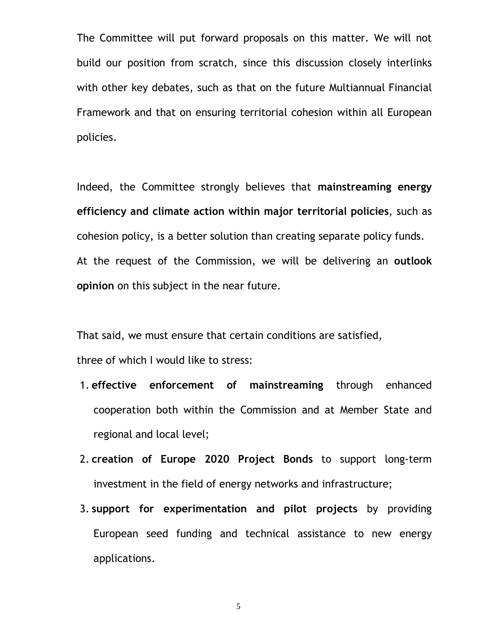The Committee will put forward proposals on this matter. We will not build our position from scratch, since this discussion closely interlinks with other key debates, such as that on the future Multiannual Financial Framework and that on ensuring territorial cohesion within all European policies.

Indeed, the Committee strongly believes that mainstreaming energy efficiency and climate action within major territorial policies, such as cohesion policy, is a better solution than creating separate policy funds. At the request of the Commission, we will be delivering an outlook opinion on this subject in the near future.

That said, we must ensure that certain conditions are satisfied,

three of which I would like to stress:

- 1. effective enforcement of mainstreaming through enhanced cooperation both within the Commission and at Member State and regional and local level;
- 2. creation of Europe 2020 Project Bonds to support long-term investment in the field of energy networks and infrastructure;
- 3. support for experimentation and pilot projects by providing European seed funding and technical assistance to new energy applications.

5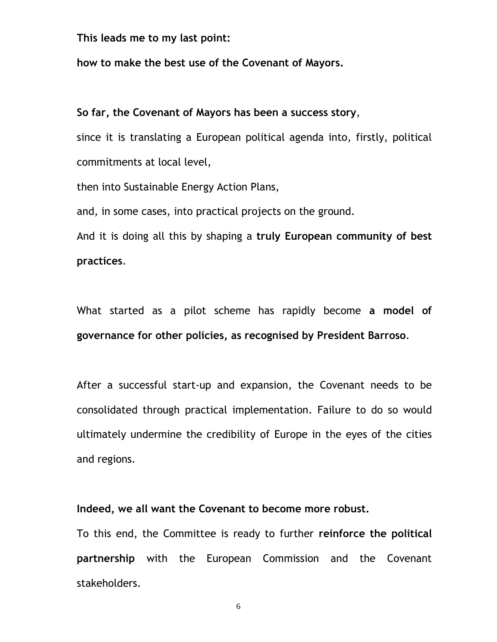This leads me to my last point:

how to make the best use of the Covenant of Mayors.

## So far, the Covenant of Mayors has been a success story,

since it is translating a European political agenda into, firstly, political commitments at local level,

then into Sustainable Energy Action Plans,

and, in some cases, into practical projects on the ground.

And it is doing all this by shaping a truly European community of best practices.

What started as a pilot scheme has rapidly become a model of governance for other policies, as recognised by President Barroso.

After a successful start-up and expansion, the Covenant needs to be consolidated through practical implementation. Failure to do so would ultimately undermine the credibility of Europe in the eyes of the cities and regions.

Indeed, we all want the Covenant to become more robust.

To this end, the Committee is ready to further reinforce the political partnership with the European Commission and the Covenant stakeholders.

6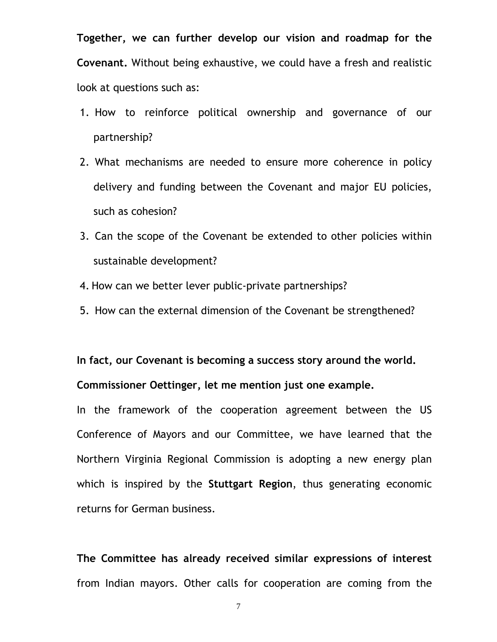Together, we can further develop our vision and roadmap for the Covenant. Without being exhaustive, we could have a fresh and realistic look at questions such as:

- 1. How to reinforce political ownership and governance of our partnership?
- 2. What mechanisms are needed to ensure more coherence in policy delivery and funding between the Covenant and major EU policies, such as cohesion?
- 3. Can the scope of the Covenant be extended to other policies within sustainable development?
- 4. How can we better lever public-private partnerships?
- 5. How can the external dimension of the Covenant be strengthened?

In fact, our Covenant is becoming a success story around the world. Commissioner Oettinger, let me mention just one example.

In the framework of the cooperation agreement between the US Conference of Mayors and our Committee, we have learned that the Northern Virginia Regional Commission is adopting a new energy plan which is inspired by the Stuttgart Region, thus generating economic returns for German business.

The Committee has already received similar expressions of interest from Indian mayors. Other calls for cooperation are coming from the